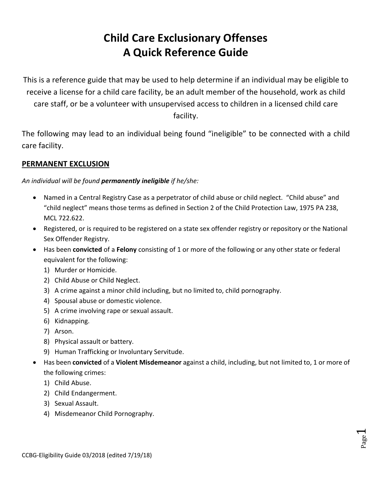# **Child Care Exclusionary Offenses A Quick Reference Guide**

This is a reference guide that may be used to help determine if an individual may be eligible to receive a license for a child care facility, be an adult member of the household, work as child care staff, or be a volunteer with unsupervised access to children in a licensed child care facility.

The following may lead to an individual being found "ineligible" to be connected with a child care facility.

#### **PERMANENT EXCLUSION**

*An individual will be found permanently ineligible if he/she:*

- Named in a Central Registry Case as a perpetrator of child abuse or child neglect. "Child abuse" and "child neglect" means those terms as defined in Section 2 of the Child Protection Law, 1975 PA 238, MCL 722.622.
- Registered, or is required to be registered on a state sex offender registry or repository or the National Sex Offender Registry.
- Has been **convicted** of a **Felony** consisting of 1 or more of the following or any other state or federal equivalent for the following:
	- 1) Murder or Homicide.
	- 2) Child Abuse or Child Neglect.
	- 3) A crime against a minor child including, but no limited to, child pornography.
	- 4) Spousal abuse or domestic violence.
	- 5) A crime involving rape or sexual assault.
	- 6) Kidnapping.
	- 7) Arson.
	- 8) Physical assault or battery.
	- 9) Human Trafficking or Involuntary Servitude.
- Has been **convicted** of a **Violent Misdemeanor** against a child, including, but not limited to, 1 or more of the following crimes:

Page  $\overline{\phantom{0}}$ 

- 1) Child Abuse.
- 2) Child Endangerment.
- 3) Sexual Assault.
- 4) Misdemeanor Child Pornography.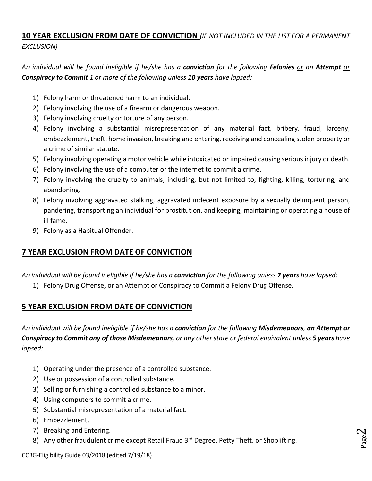### **10 YEAR EXCLUSION FROM DATE OF CONVICTION** *(IF NOT INCLUDED IN THE LIST FOR A PERMANENT EXCLUSION)*

*An individual will be found ineligible if he/she has a conviction for the following Felonies or an Attempt or Conspiracy to Commit 1 or more of the following unless 10 years have lapsed:*

- 1) Felony harm or threatened harm to an individual.
- 2) Felony involving the use of a firearm or dangerous weapon.
- 3) Felony involving cruelty or torture of any person.
- 4) Felony involving a substantial misrepresentation of any material fact, bribery, fraud, larceny, embezzlement, theft, home invasion, breaking and entering, receiving and concealing stolen property or a crime of similar statute.
- 5) Felony involving operating a motor vehicle while intoxicated or impaired causing serious injury or death.
- 6) Felony involving the use of a computer or the internet to commit a crime.
- 7) Felony involving the cruelty to animals, including, but not limited to, fighting, killing, torturing, and abandoning.
- 8) Felony involving aggravated stalking, aggravated indecent exposure by a sexually delinquent person, pandering, transporting an individual for prostitution, and keeping, maintaining or operating a house of ill fame.
- 9) Felony as a Habitual Offender.

#### **7 YEAR EXCLUSION FROM DATE OF CONVICTION**

*An individual will be found ineligible if he/she has a conviction for the following unless 7 years have lapsed:*

1) Felony Drug Offense, or an Attempt or Conspiracy to Commit a Felony Drug Offense.

#### **5 YEAR EXCLUSION FROM DATE OF CONVICTION**

*An individual will be found ineligible if he/she has a conviction for the following Misdemeanors, an Attempt or Conspiracy to Commit any of those Misdemeanors, or any other state or federal equivalent unless 5 years have lapsed:*

> Page  $\mathrel{\sim}$

- 1) Operating under the presence of a controlled substance.
- 2) Use or possession of a controlled substance.
- 3) Selling or furnishing a controlled substance to a minor.
- 4) Using computers to commit a crime.
- 5) Substantial misrepresentation of a material fact.
- 6) Embezzlement.
- 7) Breaking and Entering.
- 8) Any other fraudulent crime except Retail Fraud 3rd Degree, Petty Theft, or Shoplifting.